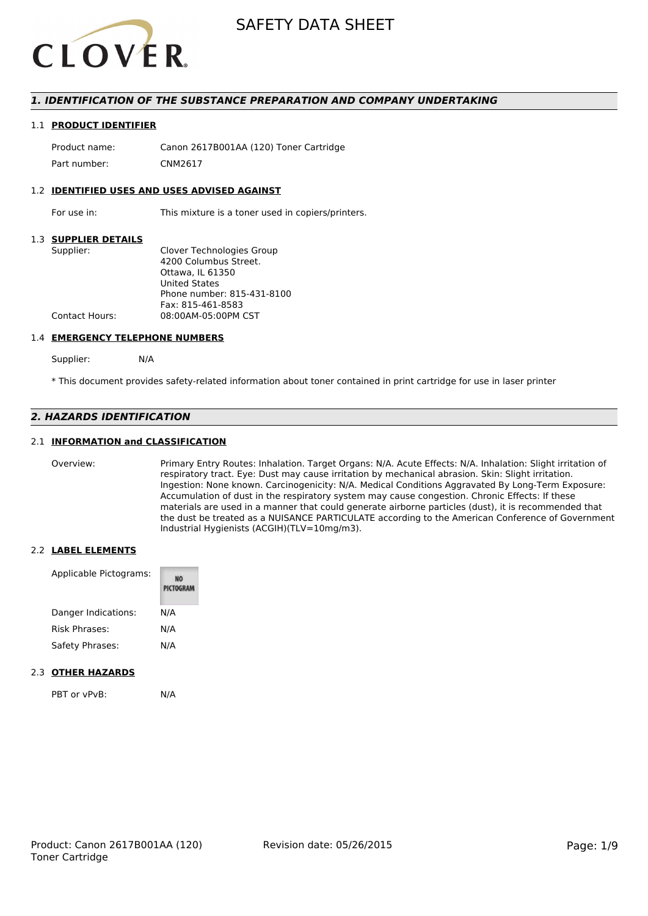

# *1. IDENTIFICATION OF THE SUBSTANCE PREPARATION AND COMPANY UNDERTAKING*

#### 1.1 **PRODUCT IDENTIFIER**

Product name: Canon 2617B001AA (120) Toner Cartridge Part number: CNM2617

#### 1.2 **IDENTIFIED USES AND USES ADVISED AGAINST**

For use in: This mixture is a toner used in copiers/printers.

#### 1.3 **SUPPLIER DETAILS**

| Supplier:             | Clover Technologies Group  |
|-----------------------|----------------------------|
|                       | 4200 Columbus Street.      |
|                       | Ottawa. IL 61350           |
|                       | <b>United States</b>       |
|                       | Phone number: 815-431-8100 |
|                       | Fax: 815-461-8583          |
| <b>Contact Hours:</b> | 08:00AM-05:00PM CST        |
|                       |                            |

#### 1.4 **EMERGENCY TELEPHONE NUMBERS**

Supplier: N/A

\* This document provides safety-related information about toner contained in print cartridge for use in laser printer

# *2. HAZARDS IDENTIFICATION*

### 2.1 **INFORMATION and CLASSIFICATION**

Overview: Primary Entry Routes: Inhalation. Target Organs: N/A. Acute Effects: N/A. Inhalation: Slight irritation of respiratory tract. Eye: Dust may cause irritation by mechanical abrasion. Skin: Slight irritation. Ingestion: None known. Carcinogenicity: N/A. Medical Conditions Aggravated By Long-Term Exposure: Accumulation of dust in the respiratory system may cause congestion. Chronic Effects: If these materials are used in a manner that could generate airborne particles (dust), it is recommended that the dust be treated as a NUISANCE PARTICULATE according to the American Conference of Government Industrial Hygienists (ACGIH)(TLV=10mg/m3).

#### 2.2 **LABEL ELEMENTS**

| Applicable Pictograms: | PICTOGRAM |
|------------------------|-----------|
| Danger Indications:    | N/A       |
| <b>Risk Phrases:</b>   | N/A       |
| Safety Phrases:        | N/A       |
|                        |           |

# 2.3 **OTHER HAZARDS**

PBT or vPvB: N/A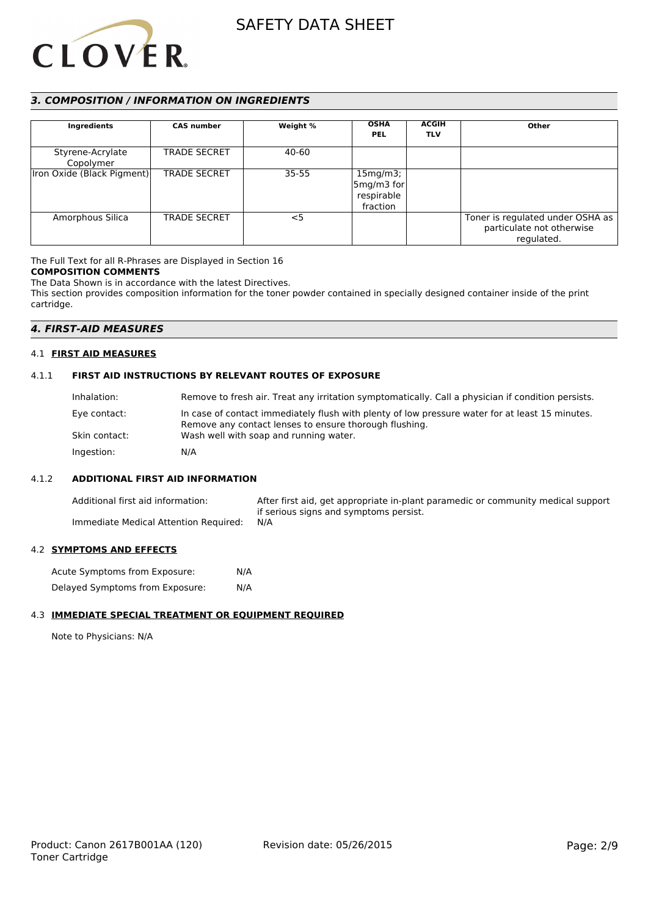

# *3. COMPOSITION / INFORMATION ON INGREDIENTS*

| Ingredients                   | <b>CAS number</b>   | Weight % | <b>OSHA</b><br><b>PEL</b>                          | <b>ACGIH</b><br><b>TLV</b> | Other                                                                       |
|-------------------------------|---------------------|----------|----------------------------------------------------|----------------------------|-----------------------------------------------------------------------------|
| Styrene-Acrylate<br>Copolymer | <b>TRADE SECRET</b> | 40-60    |                                                    |                            |                                                                             |
| Iron Oxide (Black Pigment)    | <b>TRADE SECRET</b> | 35-55    | 15mg/m3;<br>$5mg/m3$ for<br>respirable<br>fraction |                            |                                                                             |
| Amorphous Silica              | <b>TRADE SECRET</b> | $<$ 5    |                                                    |                            | Toner is regulated under OSHA as<br>particulate not otherwise<br>regulated. |

The Full Text for all R-Phrases are Displayed in Section 16

#### **COMPOSITION COMMENTS**

The Data Shown is in accordance with the latest Directives.

This section provides composition information for the toner powder contained in specially designed container inside of the print cartridge.

# *4. FIRST-AID MEASURES*

#### 4.1 **FIRST AID MEASURES**

#### 4.1.1 **FIRST AID INSTRUCTIONS BY RELEVANT ROUTES OF EXPOSURE**

| Inhalation:   | Remove to fresh air. Treat any irritation symptomatically. Call a physician if condition persists.                                                        |
|---------------|-----------------------------------------------------------------------------------------------------------------------------------------------------------|
| Eye contact:  | In case of contact immediately flush with plenty of low pressure water for at least 15 minutes.<br>Remove any contact lenses to ensure thorough flushing. |
| Skin contact: | Wash well with soap and running water.                                                                                                                    |
| Ingestion:    | N/A                                                                                                                                                       |

#### 4.1.2 **ADDITIONAL FIRST AID INFORMATION**

Additional first aid information: After first aid, get appropriate in-plant paramedic or community medical support if serious signs and symptoms persist. Immediate Medical Attention Required: N/A

#### 4.2 **SYMPTOMS AND EFFECTS**

| Acute Symptoms from Exposure:   | N/A |
|---------------------------------|-----|
| Delayed Symptoms from Exposure: | N/A |

### 4.3 **IMMEDIATE SPECIAL TREATMENT OR EQUIPMENT REQUIRED**

Note to Physicians: N/A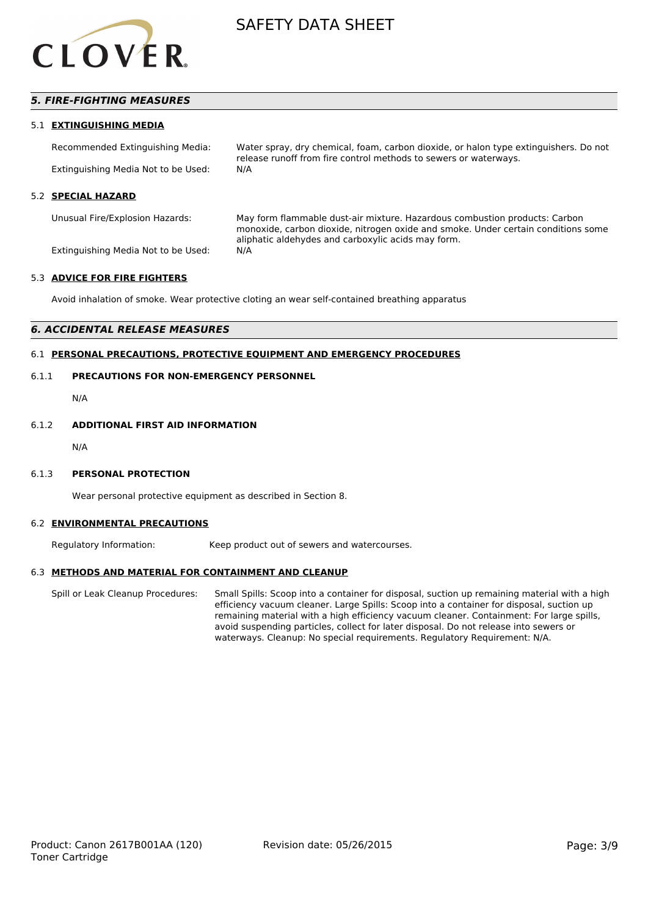

# *5. FIRE-FIGHTING MEASURES*

#### 5.1 **EXTINGUISHING MEDIA**

Recommended Extinguishing Media: Water spray, dry chemical, foam, carbon dioxide, or halon type extinguishers. Do not release runoff from fire control methods to sewers or waterways. Extinguishing Media Not to be Used: N/A

#### 5.2 **SPECIAL HAZARD**

Unusual Fire/Explosion Hazards: May form flammable dust-air mixture. Hazardous combustion products: Carbon monoxide, carbon dioxide, nitrogen oxide and smoke. Under certain conditions some aliphatic aldehydes and carboxylic acids may form.

Extinguishing Media Not to be Used: N/A

#### 5.3 **ADVICE FOR FIRE FIGHTERS**

Avoid inhalation of smoke. Wear protective cloting an wear self-contained breathing apparatus

# *6. ACCIDENTAL RELEASE MEASURES*

# 6.1 **PERSONAL PRECAUTIONS, PROTECTIVE EQUIPMENT AND EMERGENCY PROCEDURES**

# 6.1.1 **PRECAUTIONS FOR NON-EMERGENCY PERSONNEL**

N/A

### 6.1.2 **ADDITIONAL FIRST AID INFORMATION**

N/A

#### 6.1.3 **PERSONAL PROTECTION**

Wear personal protective equipment as described in Section 8.

#### 6.2 **ENVIRONMENTAL PRECAUTIONS**

Regulatory Information: Keep product out of sewers and watercourses.

#### 6.3 **METHODS AND MATERIAL FOR CONTAINMENT AND CLEANUP**

Spill or Leak Cleanup Procedures: Small Spills: Scoop into a container for disposal, suction up remaining material with a high efficiency vacuum cleaner. Large Spills: Scoop into a container for disposal, suction up remaining material with a high efficiency vacuum cleaner. Containment: For large spills, avoid suspending particles, collect for later disposal. Do not release into sewers or waterways. Cleanup: No special requirements. Regulatory Requirement: N/A.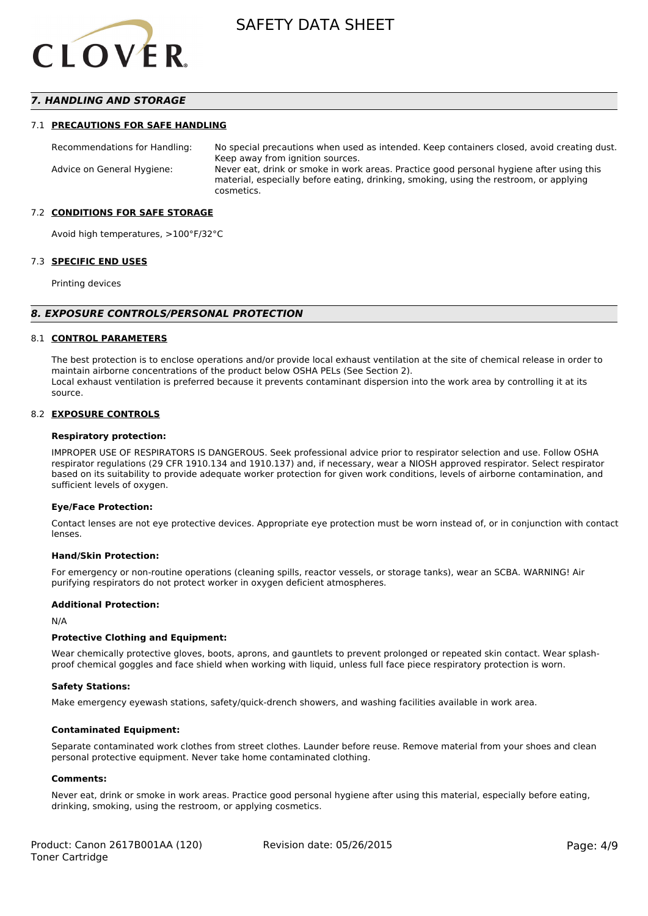

# *7. HANDLING AND STORAGE*

#### 7.1 **PRECAUTIONS FOR SAFE HANDLING**

Recommendations for Handling: No special precautions when used as intended. Keep containers closed, avoid creating dust. Keep away from ignition sources. Advice on General Hygiene: Never eat, drink or smoke in work areas. Practice good personal hygiene after using this material, especially before eating, drinking, smoking, using the restroom, or applying cosmetics.

#### 7.2 **CONDITIONS FOR SAFE STORAGE**

Avoid high temperatures, >100°F/32°C

#### 7.3 **SPECIFIC END USES**

Printing devices

#### *8. EXPOSURE CONTROLS/PERSONAL PROTECTION*

#### 8.1 **CONTROL PARAMETERS**

The best protection is to enclose operations and/or provide local exhaust ventilation at the site of chemical release in order to maintain airborne concentrations of the product below OSHA PELs (See Section 2). Local exhaust ventilation is preferred because it prevents contaminant dispersion into the work area by controlling it at its source.

#### 8.2 **EXPOSURE CONTROLS**

#### **Respiratory protection:**

IMPROPER USE OF RESPIRATORS IS DANGEROUS. Seek professional advice prior to respirator selection and use. Follow OSHA respirator regulations (29 CFR 1910.134 and 1910.137) and, if necessary, wear a NIOSH approved respirator. Select respirator based on its suitability to provide adequate worker protection for given work conditions, levels of airborne contamination, and sufficient levels of oxygen.

#### **Eye/Face Protection:**

Contact lenses are not eye protective devices. Appropriate eye protection must be worn instead of, or in conjunction with contact lenses.

#### **Hand/Skin Protection:**

For emergency or non-routine operations (cleaning spills, reactor vessels, or storage tanks), wear an SCBA. WARNING! Air purifying respirators do not protect worker in oxygen deficient atmospheres.

### **Additional Protection:**

N/A

#### **Protective Clothing and Equipment:**

Wear chemically protective gloves, boots, aprons, and gauntlets to prevent prolonged or repeated skin contact. Wear splashproof chemical goggles and face shield when working with liquid, unless full face piece respiratory protection is worn.

#### **Safety Stations:**

Make emergency eyewash stations, safety/quick-drench showers, and washing facilities available in work area.

#### **Contaminated Equipment:**

Separate contaminated work clothes from street clothes. Launder before reuse. Remove material from your shoes and clean personal protective equipment. Never take home contaminated clothing.

#### **Comments:**

Never eat, drink or smoke in work areas. Practice good personal hygiene after using this material, especially before eating, drinking, smoking, using the restroom, or applying cosmetics.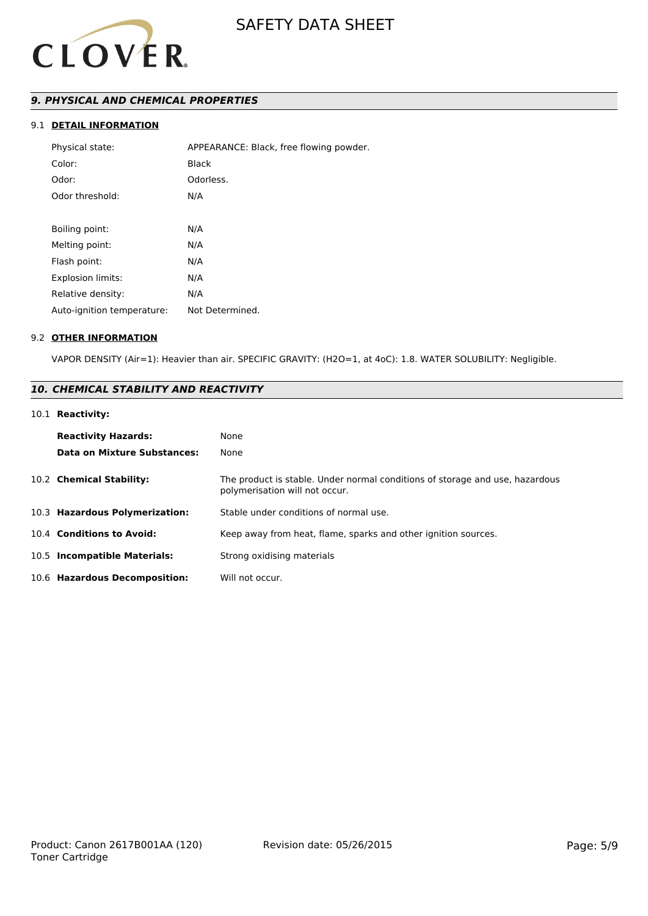

# *9. PHYSICAL AND CHEMICAL PROPERTIES*

# 9.1 **DETAIL INFORMATION**

| Physical state:            | APPEARANCE: Black, free flowing powder. |
|----------------------------|-----------------------------------------|
| Color:                     | Black                                   |
| Odor:                      | Odorless.                               |
| Odor threshold:            | N/A                                     |
|                            |                                         |
| Boiling point:             | N/A                                     |
| Melting point:             | N/A                                     |
| Flash point:               | N/A                                     |
| Explosion limits:          | N/A                                     |
| Relative density:          | N/A                                     |
| Auto-ignition temperature: | Not Determined.                         |

# 9.2 **OTHER INFORMATION**

VAPOR DENSITY (Air=1): Heavier than air. SPECIFIC GRAVITY: (H2O=1, at 4oC): 1.8. WATER SOLUBILITY: Negligible.

# *10. CHEMICAL STABILITY AND REACTIVITY*

# 10.1 **Reactivity:**

| <b>Reactivity Hazards:</b><br><b>Data on Mixture Substances:</b> | None<br>None                                                                                                   |
|------------------------------------------------------------------|----------------------------------------------------------------------------------------------------------------|
| 10.2 Chemical Stability:                                         | The product is stable. Under normal conditions of storage and use, hazardous<br>polymerisation will not occur. |
| 10.3 Hazardous Polymerization:                                   | Stable under conditions of normal use.                                                                         |
| 10.4 Conditions to Avoid:                                        | Keep away from heat, flame, sparks and other ignition sources.                                                 |
| 10.5 Incompatible Materials:                                     | Strong oxidising materials                                                                                     |
| 10.6 Hazardous Decomposition:                                    | Will not occur.                                                                                                |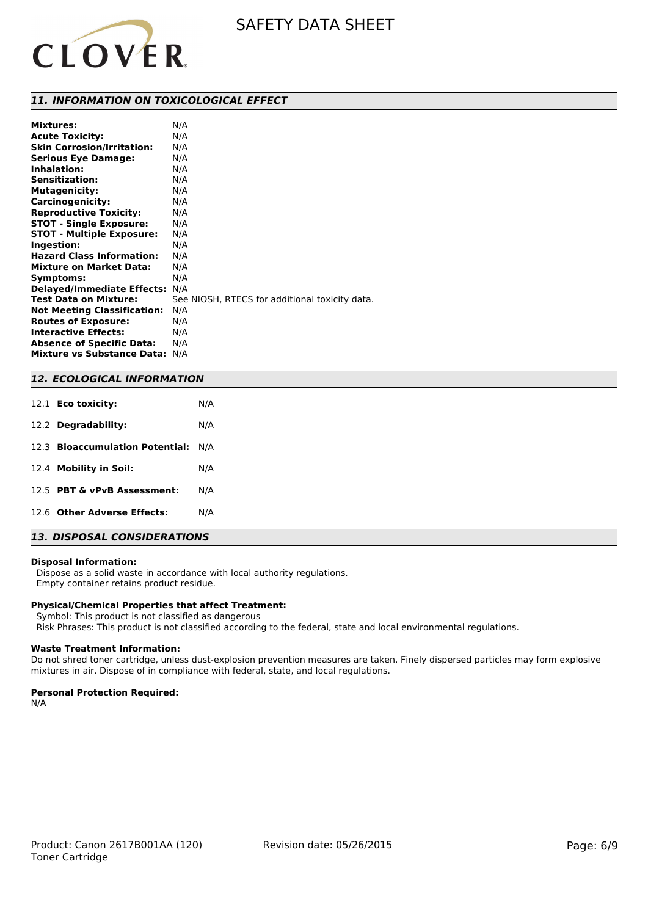

### *11. INFORMATION ON TOXICOLOGICAL EFFECT*

| <b>Mixtures:</b>                   | N/A                                            |
|------------------------------------|------------------------------------------------|
| <b>Acute Toxicity:</b>             | N/A                                            |
| <b>Skin Corrosion/Irritation:</b>  | N/A                                            |
| <b>Serious Eye Damage:</b>         | N/A                                            |
| Inhalation:                        | N/A                                            |
| Sensitization:                     | N/A                                            |
| <b>Mutagenicity:</b>               | N/A                                            |
| Carcinogenicity:                   | N/A                                            |
| <b>Reproductive Toxicity:</b>      | N/A                                            |
| <b>STOT - Single Exposure:</b>     | N/A                                            |
| <b>STOT - Multiple Exposure:</b>   | N/A                                            |
| Ingestion:                         | N/A                                            |
| <b>Hazard Class Information:</b>   | N/A                                            |
| <b>Mixture on Market Data:</b>     | N/A                                            |
| Symptoms:                          | N/A                                            |
| <b>Delayed/Immediate Effects:</b>  | N/A                                            |
| <b>Test Data on Mixture:</b>       | See NIOSH, RTECS for additional toxicity data. |
| <b>Not Meeting Classification:</b> | N/A                                            |
| <b>Routes of Exposure:</b>         | N/A                                            |
| <b>Interactive Effects:</b>        | N/A                                            |
| <b>Absence of Specific Data:</b>   | N/A                                            |
| <b>Mixture vs Substance Data:</b>  | N/A                                            |

### *12. ECOLOGICAL INFORMATION*

| 12.1 <b>Eco toxicity:</b>           | N/A |
|-------------------------------------|-----|
| 12.2 Degradability:                 | N/A |
| 12.3 Bioaccumulation Potential: N/A |     |
| 12.4 Mobility in Soil:              | N/A |
| 12.5 PBT & vPvB Assessment:         | N/A |
| 12.6 Other Adverse Effects:         | N/A |
|                                     |     |

# *13. DISPOSAL CONSIDERATIONS*

#### **Disposal Information:**

 Dispose as a solid waste in accordance with local authority regulations. Empty container retains product residue.

#### **Physical/Chemical Properties that affect Treatment:**

Symbol: This product is not classified as dangerous

Risk Phrases: This product is not classified according to the federal, state and local environmental regulations.

#### **Waste Treatment Information:**

Do not shred toner cartridge, unless dust-explosion prevention measures are taken. Finely dispersed particles may form explosive mixtures in air. Dispose of in compliance with federal, state, and local regulations.

#### **Personal Protection Required:**

N/A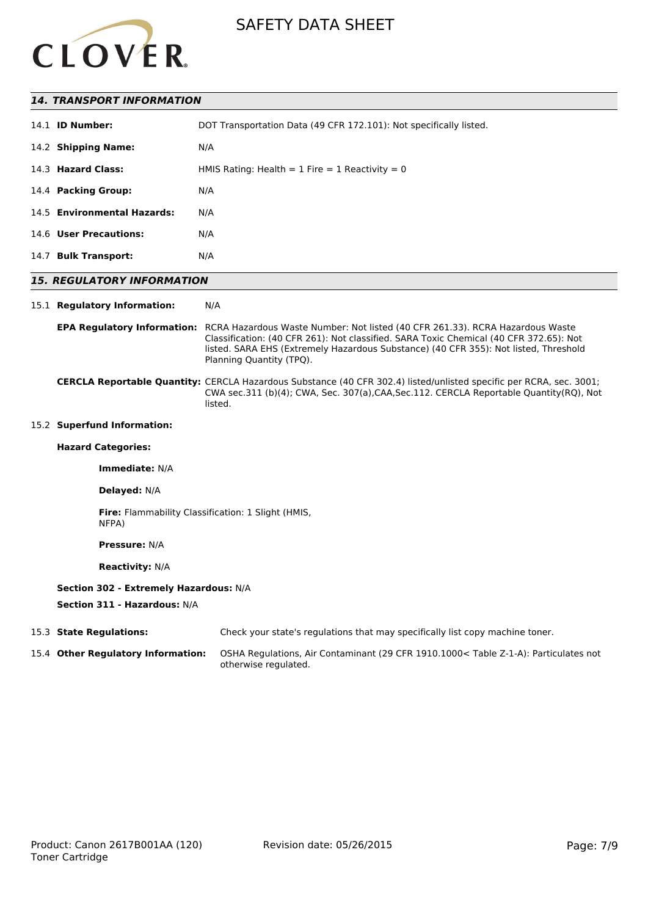

### *14. TRANSPORT INFORMATION*

| 14.1 <b>ID Number:</b>      | DOT Transportation Data (49 CFR 172.101): Not specifically listed. |
|-----------------------------|--------------------------------------------------------------------|
| 14.2 Shipping Name:         | N/A                                                                |
| 14.3 Hazard Class:          | HMIS Rating: Health = $1$ Fire = $1$ Reactivity = 0                |
| 14.4 Packing Group:         | N/A                                                                |
| 14.5 Environmental Hazards: | N/A                                                                |
| 14.6 User Precautions:      | N/A                                                                |
| 14.7 Bulk Transport:        | N/A                                                                |

# *15. REGULATORY INFORMATION*

#### 15.1 **Regulatory Information:** N/A

#### **EPA Regulatory Information:** RCRA Hazardous Waste Number: Not listed (40 CFR 261.33). RCRA Hazardous Waste Classification: (40 CFR 261): Not classified. SARA Toxic Chemical (40 CFR 372.65): Not listed. SARA EHS (Extremely Hazardous Substance) (40 CFR 355): Not listed, Threshold Planning Quantity (TPQ).

#### **CERCLA Reportable Quantity:** CERCLA Hazardous Substance (40 CFR 302.4) listed/unlisted specific per RCRA, sec. 3001; CWA sec.311 (b)(4); CWA, Sec. 307(a),CAA,Sec.112. CERCLA Reportable Quantity(RQ), Not listed.

# 15.2 **Superfund Information:**

# **Hazard Categories:**

**Immediate:** N/A

#### **Delayed:** N/A

**Fire:** Flammability Classification: 1 Slight (HMIS, NFPA)

# **Pressure:** N/A

**Reactivity:** N/A

#### **Section 302 - Extremely Hazardous:** N/A

**Section 311 - Hazardous:** N/A

# 15.3 **State Regulations:** Check your state's regulations that may specifically list copy machine toner. 15.4 **Other Regulatory Information:** OSHA Regulations, Air Contaminant (29 CFR 1910.1000< Table Z-1-A): Particulates not otherwise regulated.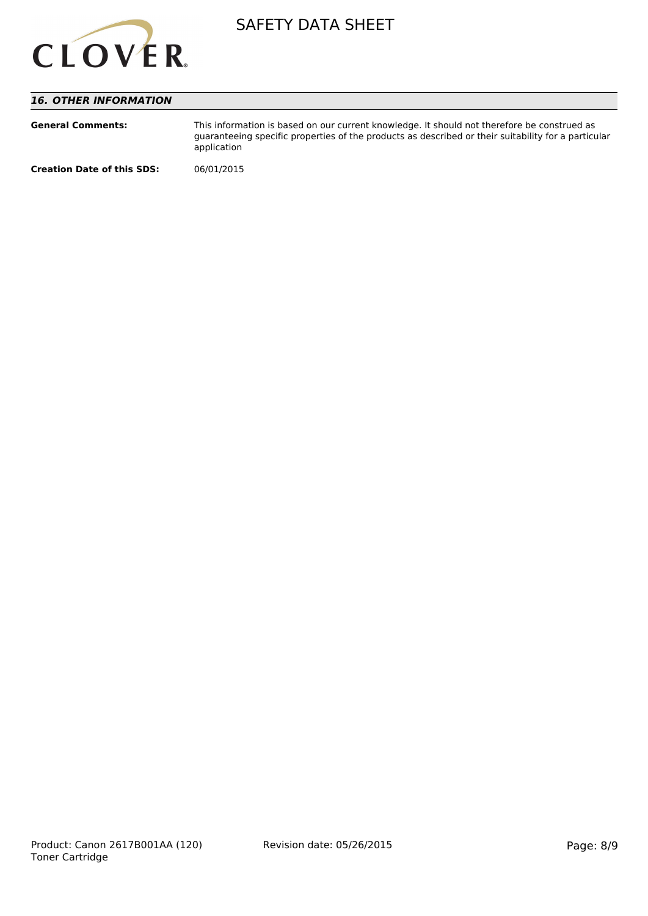

# *16. OTHER INFORMATION*

| <b>General Comments:</b>          | This information is based on our current knowledge. It should not therefore be construed as<br>quaranteeing specific properties of the products as described or their suitability for a particular<br>application |
|-----------------------------------|-------------------------------------------------------------------------------------------------------------------------------------------------------------------------------------------------------------------|
| <b>Creation Date of this SDS:</b> | 06/01/2015                                                                                                                                                                                                        |